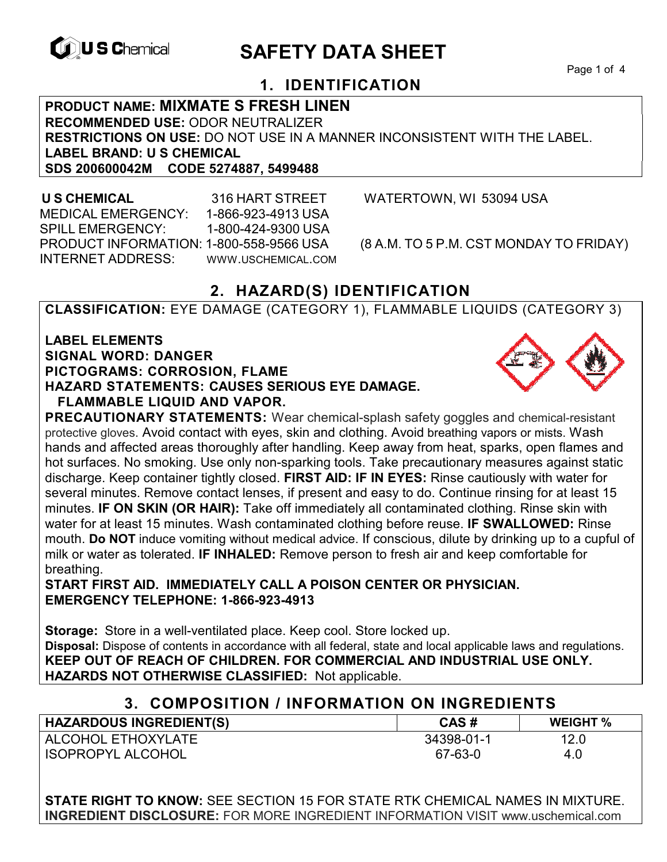

# **EXAGREM** SAFETY DATA SHEET

# **1. IDENTIFICATION**

**PRODUCT NAME: MIXMATE S FRESH LINEN RECOMMENDED USE:** ODOR NEUTRALIZER **RESTRICTIONS ON USE:** DO NOT USE IN A MANNER INCONSISTENT WITH THE LABEL. **LABEL BRAND: U S CHEMICAL SDS 200600042M CODE 5274887, 5499488** 

 **U S CHEMICAL** 316 HART STREET WATERTOWN, WI 53094 USA MEDICAL EMERGENCY: 1-866-923-4913 USA SPILL EMERGENCY: 1-800-424-9300 USA PRODUCT INFORMATION: 1-800-558-9566 USA (8 A.M. TO 5 P.M. CST MONDAY TO FRIDAY) INTERNET ADDRESS: WWW.USCHEMICAL.COM

# **2. HAZARD(S) IDENTIFICATION**

**CLASSIFICATION:** EYE DAMAGE (CATEGORY 1), FLAMMABLE LIQUIDS (CATEGORY 3)

**LABEL ELEMENTS SIGNAL WORD: DANGER PICTOGRAMS: CORROSION, FLAME HAZARD STATEMENTS: CAUSES SERIOUS EYE DAMAGE. FLAMMABLE LIQUID AND VAPOR.** 



**PRECAUTIONARY STATEMENTS:** Wear chemical-splash safety goggles and chemical-resistant protective gloves. Avoid contact with eyes, skin and clothing. Avoid breathing vapors or mists. Wash hands and affected areas thoroughly after handling. Keep away from heat, sparks, open flames and hot surfaces. No smoking. Use only non-sparking tools. Take precautionary measures against static discharge. Keep container tightly closed. **FIRST AID: IF IN EYES:** Rinse cautiously with water for several minutes. Remove contact lenses, if present and easy to do. Continue rinsing for at least 15 minutes. **IF ON SKIN (OR HAIR):** Take off immediately all contaminated clothing. Rinse skin with water for at least 15 minutes. Wash contaminated clothing before reuse. **IF SWALLOWED:** Rinse mouth. **Do NOT** induce vomiting without medical advice. If conscious, dilute by drinking up to a cupful of milk or water as tolerated. **IF INHALED:** Remove person to fresh air and keep comfortable for breathing.

**START FIRST AID. IMMEDIATELY CALL A POISON CENTER OR PHYSICIAN. EMERGENCY TELEPHONE: 1-866-923-4913**

**Storage:** Store in a well-ventilated place. Keep cool. Store locked up. **Disposal:** Dispose of contents in accordance with all federal, state and local applicable laws and regulations. **KEEP OUT OF REACH OF CHILDREN. FOR COMMERCIAL AND INDUSTRIAL USE ONLY. HAZARDS NOT OTHERWISE CLASSIFIED:** Not applicable.

## **3. COMPOSITION / INFORMATION ON INGREDIENTS**

| <b>HAZARDOUS INGREDIENT(S)</b> | CAS#       | <b>WEIGHT %</b> |
|--------------------------------|------------|-----------------|
| ALCOHOL ETHOXYLATE             | 34398-01-1 | 12.0            |
| <b>ISOPROPYL ALCOHOL</b>       | 67-63-0    | 4.0             |

**STATE RIGHT TO KNOW:** SEE SECTION 15 FOR STATE RTK CHEMICAL NAMES IN MIXTURE. **INGREDIENT DISCLOSURE:** FOR MORE INGREDIENT INFORMATION VISIT www.uschemical.com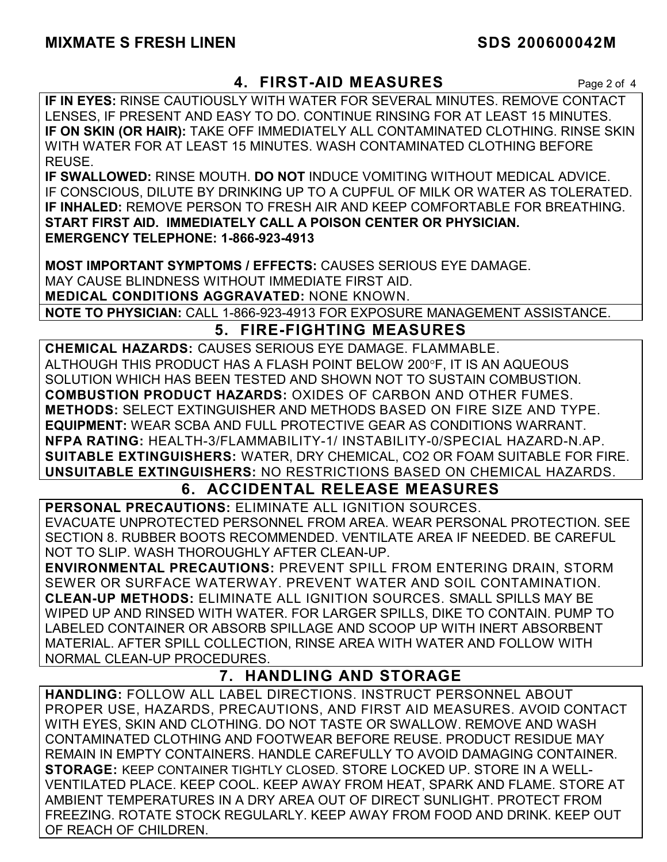# **4. FIRST-AID MEASURES** Page 2 of 4

**IF IN EYES:** RINSE CAUTIOUSLY WITH WATER FOR SEVERAL MINUTES. REMOVE CONTACT LENSES, IF PRESENT AND EASY TO DO. CONTINUE RINSING FOR AT LEAST 15 MINUTES. **IF ON SKIN (OR HAIR):** TAKE OFF IMMEDIATELY ALL CONTAMINATED CLOTHING. RINSE SKIN WITH WATER FOR AT LEAST 15 MINUTES. WASH CONTAMINATED CLOTHING BEFORE REUSE.

**IF SWALLOWED:** RINSE MOUTH. **DO NOT** INDUCE VOMITING WITHOUT MEDICAL ADVICE. IF CONSCIOUS, DILUTE BY DRINKING UP TO A CUPFUL OF MILK OR WATER AS TOLERATED. **IF INHALED:** REMOVE PERSON TO FRESH AIR AND KEEP COMFORTABLE FOR BREATHING. **START FIRST AID. IMMEDIATELY CALL A POISON CENTER OR PHYSICIAN. EMERGENCY TELEPHONE: 1-866-923-4913**

**MOST IMPORTANT SYMPTOMS / EFFECTS:** CAUSES SERIOUS EYE DAMAGE. MAY CAUSE BLINDNESS WITHOUT IMMEDIATE FIRST AID. **MEDICAL CONDITIONS AGGRAVATED:** NONE KNOWN.

**NOTE TO PHYSICIAN:** CALL 1-866-923-4913 FOR EXPOSURE MANAGEMENT ASSISTANCE.

# **5. FIRE-FIGHTING MEASURES**

**CHEMICAL HAZARDS:** CAUSES SERIOUS EYE DAMAGE. FLAMMABLE. ALTHOUGH THIS PRODUCT HAS A FLASH POINT BELOW 200F, IT IS AN AQUEOUS SOLUTION WHICH HAS BEEN TESTED AND SHOWN NOT TO SUSTAIN COMBUSTION. **COMBUSTION PRODUCT HAZARDS:** OXIDES OF CARBON AND OTHER FUMES. **METHODS:** SELECT EXTINGUISHER AND METHODS BASED ON FIRE SIZE AND TYPE. **EQUIPMENT:** WEAR SCBA AND FULL PROTECTIVE GEAR AS CONDITIONS WARRANT. **NFPA RATING:** HEALTH-3/FLAMMABILITY-1/ INSTABILITY-0/SPECIAL HAZARD-N.AP. **SUITABLE EXTINGUISHERS:** WATER, DRY CHEMICAL, CO2 OR FOAM SUITABLE FOR FIRE. **UNSUITABLE EXTINGUISHERS:** NO RESTRICTIONS BASED ON CHEMICAL HAZARDS.

# **6. ACCIDENTAL RELEASE MEASURES**

**PERSONAL PRECAUTIONS:** ELIMINATE ALL IGNITION SOURCES. EVACUATE UNPROTECTED PERSONNEL FROM AREA. WEAR PERSONAL PROTECTION. SEE SECTION 8. RUBBER BOOTS RECOMMENDED. VENTILATE AREA IF NEEDED. BE CAREFUL NOT TO SLIP. WASH THOROUGHLY AFTER CLEAN-UP.

**ENVIRONMENTAL PRECAUTIONS:** PREVENT SPILL FROM ENTERING DRAIN, STORM SEWER OR SURFACE WATERWAY. PREVENT WATER AND SOIL CONTAMINATION. **CLEAN-UP METHODS:** ELIMINATE ALL IGNITION SOURCES. SMALL SPILLS MAY BE WIPED UP AND RINSED WITH WATER. FOR LARGER SPILLS, DIKE TO CONTAIN. PUMP TO LABELED CONTAINER OR ABSORB SPILLAGE AND SCOOP UP WITH INERT ABSORBENT MATERIAL. AFTER SPILL COLLECTION, RINSE AREA WITH WATER AND FOLLOW WITH NORMAL CLEAN-UP PROCEDURES.

# **7. HANDLING AND STORAGE**

**HANDLING:** FOLLOW ALL LABEL DIRECTIONS. INSTRUCT PERSONNEL ABOUT PROPER USE, HAZARDS, PRECAUTIONS, AND FIRST AID MEASURES. AVOID CONTACT WITH EYES, SKIN AND CLOTHING. DO NOT TASTE OR SWALLOW. REMOVE AND WASH CONTAMINATED CLOTHING AND FOOTWEAR BEFORE REUSE. PRODUCT RESIDUE MAY REMAIN IN EMPTY CONTAINERS. HANDLE CAREFULLY TO AVOID DAMAGING CONTAINER. **STORAGE:** KEEP CONTAINER TIGHTLY CLOSED. STORE LOCKED UP. STORE IN A WELL-VENTILATED PLACE. KEEP COOL. KEEP AWAY FROM HEAT, SPARK AND FLAME. STORE AT AMBIENT TEMPERATURES IN A DRY AREA OUT OF DIRECT SUNLIGHT. PROTECT FROM FREEZING. ROTATE STOCK REGULARLY. KEEP AWAY FROM FOOD AND DRINK. KEEP OUT OF REACH OF CHILDREN.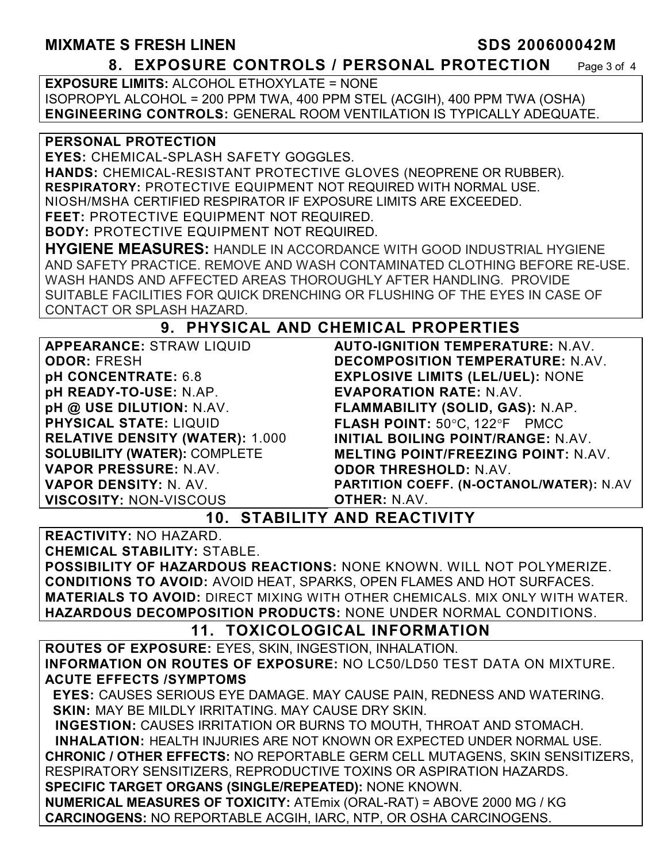### **MIXMATE S FRESH LINEN SDS 200600042M 8. EXPOSURE CONTROLS / PERSONAL PROTECTION** Page 3 of 4

**EXPOSURE LIMITS:** ALCOHOL ETHOXYLATE = NONE ISOPROPYL ALCOHOL = 200 PPM TWA, 400 PPM STEL (ACGIH), 400 PPM TWA (OSHA) **ENGINEERING CONTROLS:** GENERAL ROOM VENTILATION IS TYPICALLY ADEQUATE.

#### **PERSONAL PROTECTION**

**EYES:** CHEMICAL-SPLASH SAFETY GOGGLES.

**HANDS:** CHEMICAL-RESISTANT PROTECTIVE GLOVES (NEOPRENE OR RUBBER). **RESPIRATORY:** PROTECTIVE EQUIPMENT NOT REQUIRED WITH NORMAL USE.

NIOSH/MSHA CERTIFIED RESPIRATOR IF EXPOSURE LIMITS ARE EXCEEDED.

**FEET:** PROTECTIVE EQUIPMENT NOT REQUIRED.

**BODY:** PROTECTIVE EQUIPMENT NOT REQUIRED.

**HYGIENE MEASURES:** HANDLE IN ACCORDANCE WITH GOOD INDUSTRIAL HYGIENE AND SAFETY PRACTICE. REMOVE AND WASH CONTAMINATED CLOTHING BEFORE RE-USE. WASH HANDS AND AFFECTED AREAS THOROUGHLY AFTER HANDLING. PROVIDE SUITABLE FACILITIES FOR QUICK DRENCHING OR FLUSHING OF THE EYES IN CASE OF CONTACT OR SPLASH HAZARD.

# **9. PHYSICAL AND CHEMICAL PROPERTIES**

| <b>APPEARANCE: STRAW LIQUID</b>                                                     | <b>AUTO-IGNITION TEMPERATURE: N.AV.</b>    |  |
|-------------------------------------------------------------------------------------|--------------------------------------------|--|
| <b>ODOR: FRESH</b>                                                                  | <b>DECOMPOSITION TEMPERATURE: N.AV.</b>    |  |
| pH CONCENTRATE: 6.8                                                                 | <b>EXPLOSIVE LIMITS (LEL/UEL): NONE</b>    |  |
| pH READY-TO-USE: N.AP.                                                              | <b>EVAPORATION RATE: N.AV.</b>             |  |
| pH @ USE DILUTION: N.AV.                                                            | FLAMMABILITY (SOLID, GAS): N.AP.           |  |
| <b>PHYSICAL STATE: LIQUID</b>                                                       | FLASH POINT: 50°C, 122°F PMCC              |  |
| <b>RELATIVE DENSITY (WATER): 1.000</b>                                              | <b>INITIAL BOILING POINT/RANGE: N.AV.</b>  |  |
| <b>SOLUBILITY (WATER): COMPLETE</b>                                                 | <b>MELTING POINT/FREEZING POINT: N.AV.</b> |  |
| <b>VAPOR PRESSURE: N.AV.</b>                                                        | <b>ODOR THRESHOLD: N.AV.</b>               |  |
| <b>VAPOR DENSITY: N. AV.</b>                                                        | PARTITION COEFF. (N-OCTANOL/WATER): N.AV   |  |
| <b>VISCOSITY: NON-VISCOUS</b>                                                       | <b>OTHER: N.AV.</b>                        |  |
| <b>10. STABILITY AND REACTIVITY</b>                                                 |                                            |  |
| <b>REACTIVITY: NO HAZARD.</b>                                                       |                                            |  |
| <b>CHEMICAL STABILITY: STABLE.</b>                                                  |                                            |  |
| POSSIBILITY OF HAZARDOUS REACTIONS: NONE KNOWN. WILL NOT POLYMERIZE.                |                                            |  |
| <b>CONDITIONS TO AVOID: AVOID HEAT, SPARKS, OPEN FLAMES AND HOT SURFACES.</b>       |                                            |  |
| <b>MATERIALS TO AVOID:</b> DIRECT MIXING WITH OTHER CHEMICALS. MIX ONLY WITH WATER. |                                            |  |
| HAZARDOUS DECOMPOSITION PRODUCTS: NONE UNDER NORMAL CONDITIONS.                     |                                            |  |
| 11. TOXICOLOGICAL INFORMATION                                                       |                                            |  |
| <b>ROUTES OF EXPOSURE: EYES, SKIN, INGESTION, INHALATION.</b>                       |                                            |  |

**INFORMATION ON ROUTES OF EXPOSURE:** NO LC50/LD50 TEST DATA ON MIXTURE. **ACUTE EFFECTS /SYMPTOMS**

 **EYES:** CAUSES SERIOUS EYE DAMAGE. MAY CAUSE PAIN, REDNESS AND WATERING.  **SKIN:** MAY BE MILDLY IRRITATING. MAY CAUSE DRY SKIN.

 **INGESTION:** CAUSES IRRITATION OR BURNS TO MOUTH, THROAT AND STOMACH. **INHALATION:** HEALTH INJURIES ARE NOT KNOWN OR EXPECTED UNDER NORMAL USE. **CHRONIC / OTHER EFFECTS:** NO REPORTABLE GERM CELL MUTAGENS, SKIN SENSITIZERS, RESPIRATORY SENSITIZERS, REPRODUCTIVE TOXINS OR ASPIRATION HAZARDS. **SPECIFIC TARGET ORGANS (SINGLE/REPEATED):** NONE KNOWN. **NUMERICAL MEASURES OF TOXICITY:** ATEmix (ORAL-RAT) = ABOVE 2000 MG / KG **CARCINOGENS:** NO REPORTABLE ACGIH, IARC, NTP, OR OSHA CARCINOGENS.